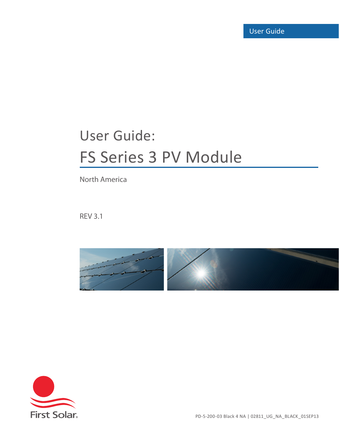# User Guide: FS Series 3 PV Module

North America

REV 3.1





PD-5-200-03 Black 4 NA | 02811\_UG\_NA\_BLACK\_01SEP13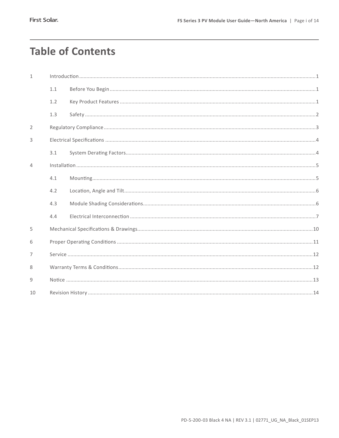## **Table of Contents**

| $\mathbf{1}$   |     |  |  |  |  |  |
|----------------|-----|--|--|--|--|--|
|                | 1.1 |  |  |  |  |  |
|                | 1.2 |  |  |  |  |  |
|                | 1.3 |  |  |  |  |  |
| $\overline{2}$ |     |  |  |  |  |  |
| 3              |     |  |  |  |  |  |
|                | 3.1 |  |  |  |  |  |
| $\overline{4}$ |     |  |  |  |  |  |
|                | 4.1 |  |  |  |  |  |
|                | 4.2 |  |  |  |  |  |
|                | 4.3 |  |  |  |  |  |
|                | 4.4 |  |  |  |  |  |
| 5              |     |  |  |  |  |  |
| 6              |     |  |  |  |  |  |
| $\overline{7}$ |     |  |  |  |  |  |
| 8              |     |  |  |  |  |  |
| 9              |     |  |  |  |  |  |
| 10             |     |  |  |  |  |  |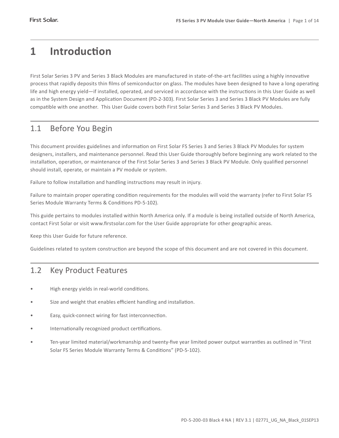## **1 Introduction**

First Solar Series 3 PV and Series 3 Black Modules are manufactured in state-of-the-art facilities using a highly innovative process that rapidly deposits thin films of semiconductor on glass. The modules have been designed to have a long operating life and high energy yield—if installed, operated, and serviced in accordance with the instructions in this User Guide as well as in the System Design and Application Document (PD-2-303). First Solar Series 3 and Series 3 Black PV Modules are fully compatible with one another. This User Guide covers both First Solar Series 3 and Series 3 Black PV Modules.

### 1.1 Before You Begin

This document provides guidelines and information on First Solar FS Series 3 and Series 3 Black PV Modules for system designers, installers, and maintenance personnel. Read this User Guide thoroughly before beginning any work related to the installation, operation, or maintenance of the First Solar Series 3 and Series 3 Black PV Module. Only qualified personnel should install, operate, or maintain a PV module or system.

Failure to follow installation and handling instructions may result in injury.

Failure to maintain proper operating condition requirements for the modules will void the warranty (refer to First Solar FS Series Module Warranty Terms & Conditions PD-5-102).

This guide pertains to modules installed within North America only. If a module is being installed outside of North America, contact First Solar or visit www.firstsolar.com for the User Guide appropriate for other geographic areas.

Keep this User Guide for future reference.

Guidelines related to system construction are beyond the scope of this document and are not covered in this document.

### 1.2 Key Product Features

- High energy yields in real-world conditions.
- Size and weight that enables efficient handling and installation.
- Easy, quick-connect wiring for fast interconnection.
- Internationally recognized product certifications.
- • Ten-year limited material/workmanship and twenty-five year limited power output warranties as outlined in "First Solar FS Series Module Warranty Terms & Conditions" (PD-5-102).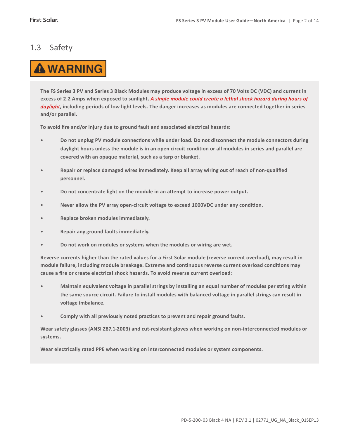### 1.3 Safety



**The FS Series 3 PV and Series 3 Black Modules may produce voltage in excess of 70 Volts DC (VDC) and current in excess of 2.2 Amps when exposed to sunlight.** *A single module could create a lethal shock hazard during hours of daylight***, including periods of low light levels. The danger increases as modules are connected together in series and/or parallel.**

**To avoid fire and/or injury due to ground fault and associated electrical hazards:** 

- Do not unplug PV module connections while under load. Do not disconnect the module connectors during **daylight hours unless the module is in an open circuit condition or all modules in series and parallel are covered with an opaque material, such as a tarp or blanket.**
- Repair or replace damaged wires immediately. Keep all array wiring out of reach of non-qualified **personnel.**
- Do not concentrate light on the module in an attempt to increase power output.
- Never allow the PV array open-circuit voltage to exceed 1000VDC under any condition.
- • **Replace broken modules immediately.**
- **Repair any ground faults immediately.**
- Do not work on modules or systems when the modules or wiring are wet.

**Reverse currents higher than the rated values for a First Solar module (reverse current overload), may result in module failure, including module breakage. Extreme and continuous reverse current overload conditions may cause a fire or create electrical shock hazards. To avoid reverse current overload:**

- Maintain equivalent voltage in parallel strings by installing an equal number of modules per string within **the same source circuit. Failure to install modules with balanced voltage in parallel strings can result in voltage imbalance.**
- Comply with all previously noted practices to prevent and repair ground faults.

**Wear safety glasses (ANSI Z87.1-2003) and cut-resistant gloves when working on non-interconnected modules or systems.**

**Wear electrically rated PPE when working on interconnected modules or system components.**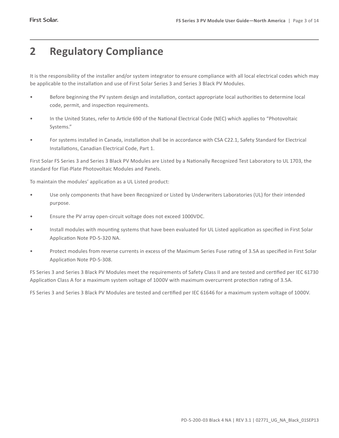## **2 Regulatory Compliance**

It is the responsibility of the installer and/or system integrator to ensure compliance with all local electrical codes which may be applicable to the installation and use of First Solar Series 3 and Series 3 Black PV Modules.

- • Before beginning the PV system design and installation, contact appropriate local authorities to determine local code, permit, and inspection requirements.
- • In the United States, refer to Article 690 of the National Electrical Code (NEC) which applies to "Photovoltaic Systems."
- For systems installed in Canada, installation shall be in accordance with CSA C22.1, Safety Standard for Electrical Installations, Canadian Electrical Code, Part 1.

First Solar FS Series 3 and Series 3 Black PV Modules are Listed by a Nationally Recognized Test Laboratory to UL 1703, the standard for Flat-Plate Photovoltaic Modules and Panels.

To maintain the modules' application as a UL Listed product:

- Use only components that have been Recognized or Listed by Underwriters Laboratories (UL) for their intended purpose.
- • Ensure the PV array open-circuit voltage does not exceed 1000VDC.
- Install modules with mounting systems that have been evaluated for UL Listed application as specified in First Solar Application Note PD-5-320 NA.
- Protect modules from reverse currents in excess of the Maximum Series Fuse rating of 3.5A as specified in First Solar Application Note PD-5-308.

FS Series 3 and Series 3 Black PV Modules meet the requirements of Safety Class II and are tested and certified per IEC 61730 Application Class A for a maximum system voltage of 1000V with maximum overcurrent protection rating of 3.5A.

FS Series 3 and Series 3 Black PV Modules are tested and certified per IEC 61646 for a maximum system voltage of 1000V.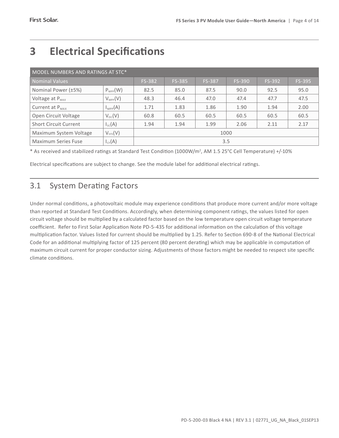| MODEL NUMBERS AND RATINGS AT STC*         |                     |               |               |               |        |        |      |  |  |  |
|-------------------------------------------|---------------------|---------------|---------------|---------------|--------|--------|------|--|--|--|
| <b>Nominal Values</b>                     | FS-382              | <b>FS-385</b> | <b>FS-387</b> | <b>FS-390</b> | FS-392 | FS-395 |      |  |  |  |
| Nominal Power (±5%)                       | $P_{\text{MPP}}(W)$ | 82.5          | 85.0          | 87.5          | 90.0   | 92.5   | 95.0 |  |  |  |
| Voltage at $P_{MAX}$                      | $V_{\text{MPP}}(V)$ | 48.3          | 46.4          | 47.0          | 47.4   | 47.7   | 47.5 |  |  |  |
| Current at $P_{MAX}$                      | $I_{\text{MPP}}(A)$ | 1.71          | 1.83          | 1.86          | 1.90   | 1.94   | 2.00 |  |  |  |
| Open Circuit Voltage                      | $V_{oc}(V)$         | 60.8          | 60.5          | 60.5          | 60.5   | 60.5   | 60.5 |  |  |  |
| <b>Short Circuit Current</b>              | $I_{sc}(A)$         | 1.94          | 1.94          | 1.99          | 2.06   | 2.11   | 2.17 |  |  |  |
| $V_{sys}(V)$<br>Maximum System Voltage    |                     | 1000          |               |               |        |        |      |  |  |  |
| $I_{CF}(A)$<br><b>Maximum Series Fuse</b> |                     | 3.5           |               |               |        |        |      |  |  |  |

## **3 Electrical Specifications**

\* As received and stabilized ratings at Standard Test Condition (1000W/m<sup>2</sup> , AM 1.5 25°C Cell Temperature) +/-10%

Electrical specifications are subject to change. See the module label for additional electrical ratings.

### 3.1 System Derating Factors

Under normal conditions, a photovoltaic module may experience conditions that produce more current and/or more voltage than reported at Standard Test Conditions. Accordingly, when determining component ratings, the values listed for open circuit voltage should be multiplied by a calculated factor based on the low temperature open circuit voltage temperature coefficient. Refer to First Solar Application Note PD-5-435 for additional information on the calculation of this voltage multiplication factor. Values listed for current should be multiplied by 1.25. Refer to Section 690-8 of the National Electrical Code for an additional multiplying factor of 125 percent (80 percent derating) which may be applicable in computation of maximum circuit current for proper conductor sizing. Adjustments of those factors might be needed to respect site specific climate conditions.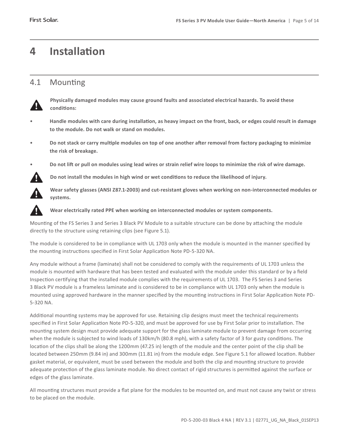## **4 Installation**

### 4.1 Mounting



**Physically damaged modules may cause ground faults and associated electrical hazards. To avoid these conditions:** 

- Handle modules with care during installation, as heavy impact on the front, back, or edges could result in damage **to the module. Do not walk or stand on modules.**
- Do not stack or carry multiple modules on top of one another after removal from factory packaging to minimize **the risk of breakage.**





**Do not install the modules in high wind or wet conditions to reduce the likelihood of injury.**

**Wear safety glasses (ANSI Z87.1-2003) and cut-resistant gloves when working on non-interconnected modules or systems.**



**Wear electrically rated PPE when working on interconnected modules or system components.**

Mounting of the FS Series 3 and Series 3 Black PV Module to a suitable structure can be done by attaching the module directly to the structure using retaining clips (see Figure 5.1).

The module is considered to be in compliance with UL 1703 only when the module is mounted in the manner specified by the mounting instructions specified in First Solar Application Note PD-5-320 NA.

Any module without a frame (laminate) shall not be considered to comply with the requirements of UL 1703 unless the module is mounted with hardware that has been tested and evaluated with the module under this standard or by a field Inspection certifying that the installed module complies with the requirements of UL 1703. The FS Series 3 and Series 3 Black PV module is a frameless laminate and is considered to be in compliance with UL 1703 only when the module is mounted using approved hardware in the manner specified by the mounting instructions in First Solar Application Note PD-5-320 NA.

Additional mounting systems may be approved for use. Retaining clip designs must meet the technical requirements specified in First Solar Application Note PD-5-320, and must be approved for use by First Solar prior to installation. The mounting system design must provide adequate support for the glass laminate module to prevent damage from occurring when the module is subjected to wind loads of 130km/h (80.8 mph), with a safety factor of 3 for gusty conditions. The location of the clips shall be along the 1200mm (47.25 in) length of the module and the center point of the clip shall be located between 250mm (9.84 in) and 300mm (11.81 in) from the module edge. See Figure 5.1 for allowed location. Rubber gasket material, or equivalent, must be used between the module and both the clip and mounting structure to provide adequate protection of the glass laminate module. No direct contact of rigid structures is permitted against the surface or edges of the glass laminate.

All mounting structures must provide a flat plane for the modules to be mounted on, and must not cause any twist or stress to be placed on the module.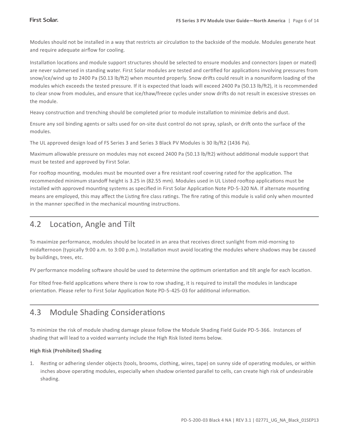Modules should not be installed in a way that restricts air circulation to the backside of the module. Modules generate heat and require adequate airflow for cooling.

Installation locations and module support structures should be selected to ensure modules and connectors (open or mated) are never submersed in standing water. First Solar modules are tested and certified for applications involving pressures from snow/ice/wind up to 2400 Pa (50.13 lb/ft2) when mounted properly. Snow drifts could result in a nonuniform loading of the modules which exceeds the tested pressure. If it is expected that loads will exceed 2400 Pa (50.13 lb/ft2), it is recommended to clear snow from modules, and ensure that ice/thaw/freeze cycles under snow drifts do not result in excessive stresses on the module.

Heavy construction and trenching should be completed prior to module installation to minimize debris and dust.

Ensure any soil binding agents or salts used for on-site dust control do not spray, splash, or drift onto the surface of the modules.

The UL approved design load of FS Series 3 and Series 3 Black PV Modules is 30 lb/ft2 (1436 Pa).

Maximum allowable pressure on modules may not exceed 2400 Pa (50.13 lb/ft2) without additional module support that must be tested and approved by First Solar.

For rooftop mounting, modules must be mounted over a fire resistant roof covering rated for the application. The recommended minimum standoff height is 3.25 in (82.55 mm). Modules used in UL Listed rooftop applications must be installed with approved mounting systems as specified in First Solar Application Note PD-5-320 NA. If alternate mounting means are employed, this may affect the Listing fire class ratings. The fire rating of this module is valid only when mounted in the manner specified in the mechanical mounting instructions.

### 4.2 Location, Angle and Tilt

To maximize performance, modules should be located in an area that receives direct sunlight from mid-morning to midafternoon (typically 9:00 a.m. to 3:00 p.m.). Installation must avoid locating the modules where shadows may be caused by buildings, trees, etc.

PV performance modeling software should be used to determine the optimum orientation and tilt angle for each location.

For tilted free-field applications where there is row to row shading, it is required to install the modules in landscape orientation. Please refer to First Solar Application Note PD-5-425-03 for additional information.

### 4.3 Module Shading Considerations

To minimize the risk of module shading damage please follow the Module Shading Field Guide PD-5-366. Instances of shading that will lead to a voided warranty include the High Risk listed items below.

#### **High Risk (Prohibited) Shading**

1. Resting or adhering slender objects (tools, brooms, clothing, wires, tape) on sunny side of operating modules, or within inches above operating modules, especially when shadow oriented parallel to cells, can create high risk of undesirable shading.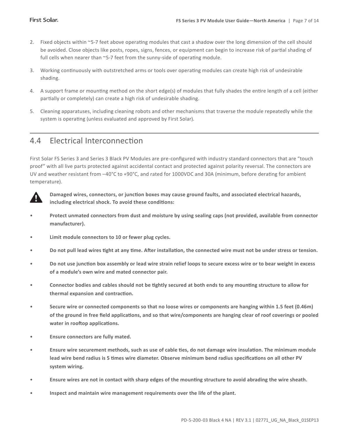- 2. Fixed objects within ~5-7 feet above operating modules that cast a shadow over the long dimension of the cell should be avoided. Close objects like posts, ropes, signs, fences, or equipment can begin to increase risk of partial shading of full cells when nearer than ~5-7 feet from the sunny-side of operating module.
- 3. Working continuously with outstretched arms or tools over operating modules can create high risk of undesirable shading.
- 4. A support frame or mounting method on the short edge(s) of modules that fully shades the entire length of a cell (either partially or completely) can create a high risk of undesirable shading.
- 5. Cleaning apparatuses, including cleaning robots and other mechanisms that traverse the module repeatedly while the system is operating (unless evaluated and approved by First Solar).

### 4.4 Electrical Interconnection

First Solar FS Series 3 and Series 3 Black PV Modules are pre-configured with industry standard connectors that are "touch proof" with all live parts protected against accidental contact and protected against polarity reversal. The connectors are UV and weather resistant from –40°C to +90°C, and rated for 1000VDC and 30A (minimum, before derating for ambient temperature). 



**Damaged wires, connectors, or junction boxes may cause ground faults, and associated electrical hazards, including electrical shock. To avoid these conditions:**

- Protect unmated connectors from dust and moisture by using sealing caps (not provided, available from connector **manufacturer).**
- • **Limit module connectors to 10 or fewer plug cycles.**
- Do not pull lead wires tight at any time. After installation, the connected wire must not be under stress or tension.
- • **Do not use junction box assembly or lead wire strain relief loops to secure excess wire or to bear weight in excess of a module's own wire and mated connector pair.**
- • **Connector bodies and cables should not be tightly secured at both ends to any mounting structure to allow for thermal expansion and contraction.**
- • **Secure wire or connected components so that no loose wires or components are hanging within 1.5 feet (0.46m) of the ground in free field applications, and so that wire/components are hanging clear of roof coverings or pooled water in rooftop applications.**
- • **Ensure connectors are fully mated.**
- • **Ensure wire securement methods, such as use of cable ties, do not damage wire insulation. The minimum module lead wire bend radius is 5 times wire diameter. Observe minimum bend radius specifications on all other PV system wiring.**
- • **Ensure wires are not in contact with sharp edges of the mounting structure to avoid abrading the wire sheath.**
- Inspect and maintain wire management requirements over the life of the plant.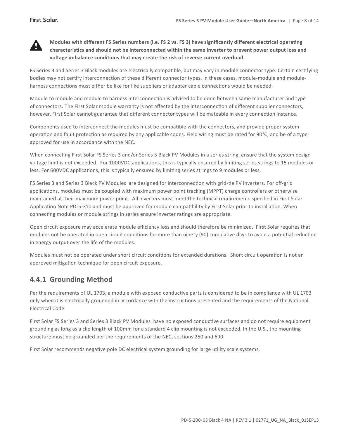

**Modules with different FS Series numbers (i.e. FS 2 vs. FS 3) have significantly different electrical operating characteristics and should not be interconnected within the same inverter to prevent power output loss and voltage imbalance conditions that may create the risk of reverse current overload.**

FS Series 3 and Series 3 Black modules are electrically compatible, but may vary in module connector type. Certain certifying bodies may not certify interconnection of these different connector types. In these cases, module-module and moduleharness connections must either be like for like suppliers or adapter cable connections would be needed.

Module to module and module to harness interconnection is advised to be done between same manufacturer and type of connectors. The First Solar module warranty is not affected by the interconnection of different supplier connectors, however, First Solar cannot guarantee that different connector types will be mateable in every connection instance.

Components used to interconnect the modules must be compatible with the connectors, and provide proper system operation and fault protection as required by any applicable codes. Field wiring must be rated for 90°C, and be of a type approved for use in accordance with the NEC.

When connecting First Solar FS Series 3 and/or Series 3 Black PV Modules in a series string, ensure that the system design voltage limit is not exceeded. For 1000VDC applications, this is typically ensured by limiting series strings to 15 modules or less. For 600VDC applications, this is typically ensured by limiting series strings to 9 modules or less.

FS Series 3 and Series 3 Black PV Modules are designed for interconnection with grid-tie PV inverters. For off-grid applications, modules must be coupled with maximum power point tracking (MPPT) charge controllers or otherwise maintained at their maximum power point. All inverters must meet the technical requirements specified in First Solar Application Note PD-5-310 and must be approved for module compatibility by First Solar prior to installation. When connecting modules or module strings in series ensure inverter ratings are appropriate.

Open circuit exposure may accelerate module efficiency loss and should therefore be minimized. First Solar requires that modules not be operated in open circuit conditions for more than ninety (90) cumulative days to avoid a potential reduction in energy output over the life of the modules.

Modules must not be operated under short circuit conditions for extended durations. Short circuit operation is not an approved mitigation technique for open circuit exposure.

### **4.4.1 Grounding Method**

Per the requirements of UL 1703, a module with exposed conductive parts is considered to be in compliance with UL 1703 only when it is electrically grounded in accordance with the instructions presented and the requirements of the National Electrical Code.

First Solar FS Series 3 and Series 3 Black PV Modules have no exposed conductive surfaces and do not require equipment grounding as long as a clip length of 100mm for a standard 4 clip mounting is not exceeded. In the U.S., the mounting structure must be grounded per the requirements of the NEC, sections 250 and 690.

First Solar recommends negative pole DC electrical system grounding for large utility scale systems.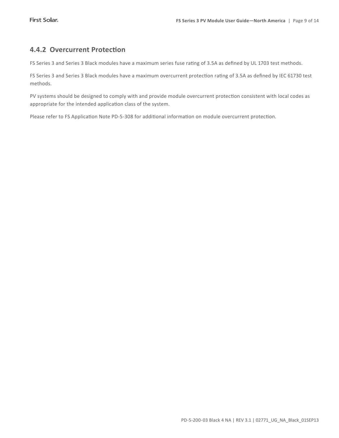#### **4.4.2 Overcurrent Protection**

FS Series 3 and Series 3 Black modules have a maximum series fuse rating of 3.5A as defined by UL 1703 test methods.

FS Series 3 and Series 3 Black modules have a maximum overcurrent protection rating of 3.5A as defined by IEC 61730 test methods.

PV systems should be designed to comply with and provide module overcurrent protection consistent with local codes as appropriate for the intended application class of the system.

Please refer to FS Application Note PD-5-308 for additional information on module overcurrent protection.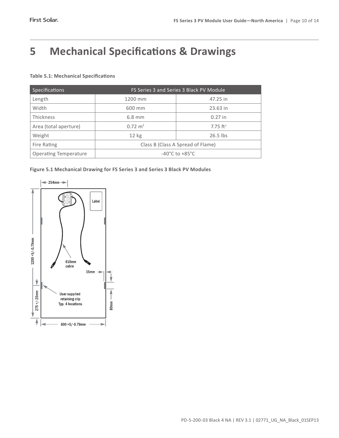## **5 Mechanical Specifications & Drawings**

#### **Table 5.1: Mechanical Specifications**

| Specifications               | FS Series 3 and Series 3 Black PV Module |                        |  |  |  |  |
|------------------------------|------------------------------------------|------------------------|--|--|--|--|
| Length                       | 1200 mm                                  | 47.25 in               |  |  |  |  |
| Width                        | 600 mm                                   | 23.63 in               |  |  |  |  |
| <b>Thickness</b>             | $6.8$ mm                                 | $0.27$ in              |  |  |  |  |
| Area (total aperture)        | $0.72 \text{ m}^2$                       | $7.75$ ft <sup>2</sup> |  |  |  |  |
| Weight                       | $12$ kg                                  | $26.5$ lbs             |  |  |  |  |
| Fire Rating                  | Class B (Class A Spread of Flame)        |                        |  |  |  |  |
| <b>Operating Temperature</b> | $-40^{\circ}$ C to $+85^{\circ}$ C       |                        |  |  |  |  |



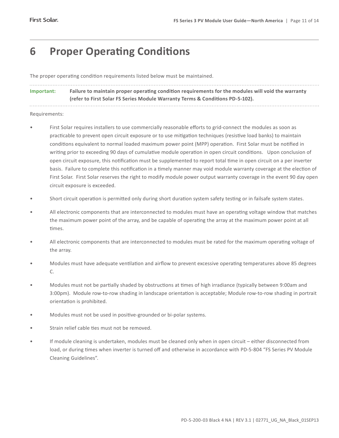## **6 Proper Operating Conditions**

The proper operating condition requirements listed below must be maintained.

**Important: Failure to maintain proper operating condition requirements for the modules will void the warranty (refer to First Solar FS Series Module Warranty Terms & Conditions PD-5-102).**

Requirements:

- First Solar requires installers to use commercially reasonable efforts to grid-connect the modules as soon as practicable to prevent open circuit exposure or to use mitigation techniques (resistive load banks) to maintain conditions equivalent to normal loaded maximum power point (MPP) operation. First Solar must be notified in writing prior to exceeding 90 days of cumulative module operation in open circuit conditions. Upon conclusion of open circuit exposure, this notification must be supplemented to report total time in open circuit on a per inverter basis. Failure to complete this notification in a timely manner may void module warranty coverage at the election of First Solar. First Solar reserves the right to modify module power output warranty coverage in the event 90 day open circuit exposure is exceeded.
- Short circuit operation is permitted only during short duration system safety testing or in failsafe system states.
- All electronic components that are interconnected to modules must have an operating voltage window that matches the maximum power point of the array, and be capable of operating the array at the maximum power point at all times.
- All electronic components that are interconnected to modules must be rated for the maximum operating voltage of the array.
- Modules must have adequate ventilation and airflow to prevent excessive operating temperatures above 85 degrees C.
- Modules must not be partially shaded by obstructions at times of high irradiance (typically between 9:00am and 3:00pm). Module row-to-row shading in landscape orientation is acceptable; Module row-to-row shading in portrait orientation is prohibited.
- Modules must not be used in positive-grounded or bi-polar systems.
- Strain relief cable ties must not be removed
- If module cleaning is undertaken, modules must be cleaned only when in open circuit either disconnected from load, or during times when inverter is turned off and otherwise in accordance with PD-5-804 "FS Series PV Module Cleaning Guidelines".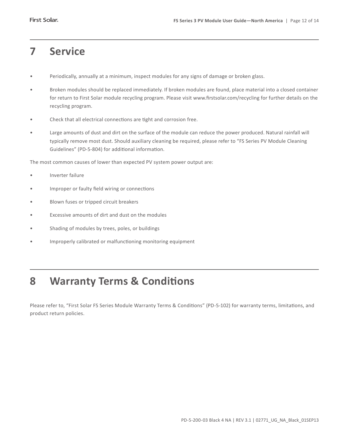### **7 Service**

- • Periodically, annually at a minimum, inspect modules for any signs of damage or broken glass.
- Broken modules should be replaced immediately. If broken modules are found, place material into a closed container for return to First Solar module recycling program. Please visit www.firstsolar.com/recycling for further details on the recycling program.
- • Check that all electrical connections are tight and corrosion free.
- Large amounts of dust and dirt on the surface of the module can reduce the power produced. Natural rainfall will typically remove most dust. Should auxiliary cleaning be required, please refer to "FS Series PV Module Cleaning Guidelines" (PD-5-804) for additional information.

The most common causes of lower than expected PV system power output are:

- Inverter failure
- • Improper or faulty field wiring or connections
- • Blown fuses or tripped circuit breakers
- Excessive amounts of dirt and dust on the modules
- Shading of modules by trees, poles, or buildings
- • Improperly calibrated or malfunctioning monitoring equipment

## **8 Warranty Terms & Conditions**

Please refer to, "First Solar FS Series Module Warranty Terms & Conditions" (PD-5-102) for warranty terms, limitations, and product return policies.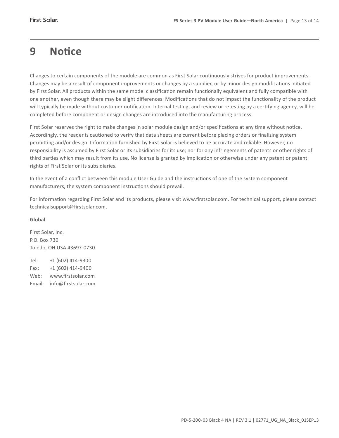## **9 Notice**

Changes to certain components of the module are common as First Solar continuously strives for product improvements. Changes may be a result of component improvements or changes by a supplier, or by minor design modifications initiated by First Solar. All products within the same model classification remain functionally equivalent and fully compatible with one another, even though there may be slight differences. Modifications that do not impact the functionality of the product will typically be made without customer notification. Internal testing, and review or retesting by a certifying agency, will be completed before component or design changes are introduced into the manufacturing process.

First Solar reserves the right to make changes in solar module design and/or specifications at any time without notice. Accordingly, the reader is cautioned to verify that data sheets are current before placing orders or finalizing system permitting and/or design. Information furnished by First Solar is believed to be accurate and reliable. However, no responsibility is assumed by First Solar or its subsidiaries for its use; nor for any infringements of patents or other rights of third parties which may result from its use. No license is granted by implication or otherwise under any patent or patent rights of First Solar or its subsidiaries.

In the event of a conflict between this module User Guide and the instructions of one of the system component manufacturers, the system component instructions should prevail.

For information regarding First Solar and its products, please visit www.firstsolar.com. For technical support, please contact technicalsupport@firstsolar.com.

#### **Global**

First Solar, Inc. P.O. Box 730 Toledo, OH USA 43697-0730

Tel: +1 (602) 414-9300 Fax: +1 (602) 414-9400 Web: www.firstsolar.com Email: info@firstsolar.com